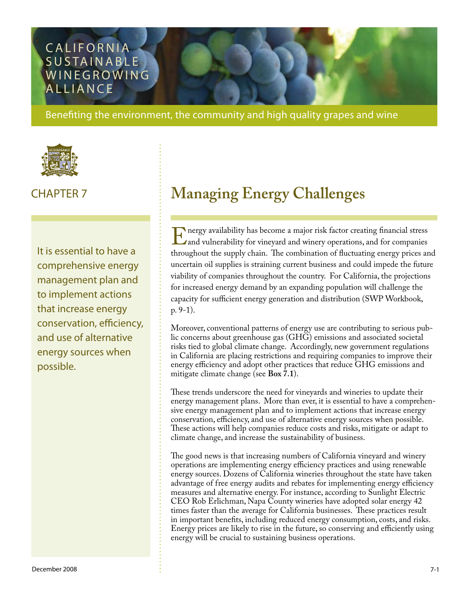# **CALIFORNIA** SUSTAINABLE WINEGROWING **ALLIANCE**

Benefiting the environment, the community and high quality grapes and wine



It is essential to have a comprehensive energy management plan and to implement actions that increase energy conservation, efficiency, and use of alternative energy sources when possible.

# CHAPTER 7 **Managing Energy Challenges**

Energy availability has become a major risk factor creating financial stress<br>and vulnerability for vineyard and winery operations, and for companies<br>throughout the supply chain. The combination of fluctuating energy prices and vulnerability for vineyard and winery operations, and for companies throughout the supply chain. The combination of fluctuating energy prices and uncertain oil supplies is straining current business and could impede the future viability of companies throughout the country. For California, the projections for increased energy demand by an expanding population will challenge the capacity for sufficient energy generation and distribution (SWP Workbook, p. 9-1).

Moreover, conventional patterns of energy use are contributing to serious public concerns about greenhouse gas (GHG) emissions and associated societal risks tied to global climate change. Accordingly, new government regulations in California are placing restrictions and requiring companies to improve their energy efficiency and adopt other practices that reduce GHG emissions and mitigate climate change (see **Box 7.1**).

These trends underscore the need for vineyards and wineries to update their energy management plans. More than ever, it is essential to have a comprehensive energy management plan and to implement actions that increase energy conservation, efficiency, and use of alternative energy sources when possible. These actions will help companies reduce costs and risks, mitigate or adapt to climate change, and increase the sustainability of business.

The good news is that increasing numbers of California vineyard and winery operations are implementing energy efficiency practices and using renewable energy sources. Dozens of California wineries throughout the state have taken advantage of free energy audits and rebates for implementing energy efficiency measures and alternative energy. For instance, according to Sunlight Electric CEO Rob Erlichman, Napa County wineries have adopted solar energy 42 times faster than the average for California businesses. These practices result in important benefits, including reduced energy consumption, costs, and risks. Energy prices are likely to rise in the future, so conserving and efficiently using energy will be crucial to sustaining business operations.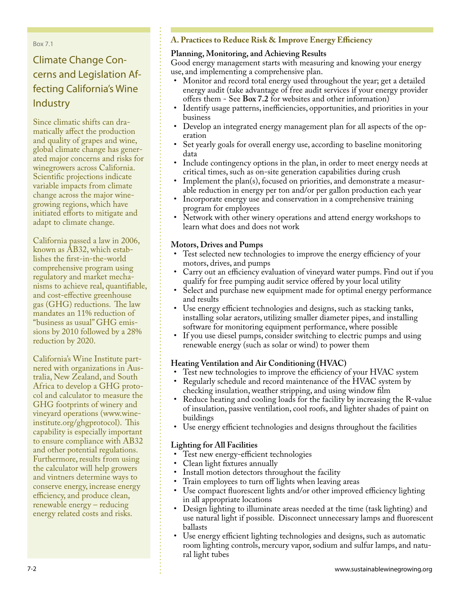Box 7.1

# Climate Change Concerns and Legislation Affecting California's Wine **Industry**

Since climatic shifts can dramatically affect the production and quality of grapes and wine, global climate change has generated major concerns and risks for winegrowers across California. Scientific projections indicate variable impacts from climate change across the major winegrowing regions, which have initiated efforts to mitigate and adapt to climate change.

California passed a law in 2006, known as AB32, which establishes the first-in-the-world comprehensive program using regulatory and market mechanisms to achieve real, quantifiable, and cost-effective greenhouse gas (GHG) reductions. The law mandates an 11% reduction of "business as usual" GHG emissions by 2010 followed by a 28% reduction by 2020.

California's Wine Institute partnered with organizations in Australia, New Zealand, and South Africa to develop a GHG protocol and calculator to measure the GHG footprints of winery and vineyard operations (www.wineinstitute.org/ghgprotocol). This capability is especially important to ensure compliance with AB32 and other potential regulations. Furthermore, results from using the calculator will help growers and vintners determine ways to conserve energy, increase energy efficiency, and produce clean, renewable energy – reducing energy related costs and risks.

### **A. Practices to Reduce Risk & Improve Energy Efficiency**

#### **Planning, Monitoring, and Achieving Results**

Good energy management starts with measuring and knowing your energy use, and implementing a comprehensive plan.

- Monitor and record total energy used throughout the year; get a detailed energy audit (take advantage of free audit services if your energy provider offers them - See **Box 7.2** for websites and other information)
- Identify usage patterns, inefficiencies, opportunities, and priorities in your business
- Develop an integrated energy management plan for all aspects of the op-• eration
- Set yearly goals for overall energy use, according to baseline monitoring data •
- Include contingency options in the plan, in order to meet energy needs at critical times, such as on-site generation capabilities during crush
- Implement the plan(s), focused on priorities, and demonstrate a measurable reduction in energy per ton and/or per gallon production each year •
- Incorporate energy use and conservation in a comprehensive training program for employees •
- Network with other winery operations and attend energy workshops to learn what does and does not work •

#### **Motors, Drives and Pumps**

- Test selected new technologies to improve the energy efficiency of your motors, drives, and pumps •
- Carry out an efficiency evaluation of vineyard water pumps. Find out if you qualify for free pumping audit service offered by your local utility •
- Select and purchase new equipment made for optimal energy performance and results
- Use energy efficient technologies and designs, such as stacking tanks, installing solar aerators, utilizing smaller diameter pipes, and installing software for monitoring equipment performance, where possible
- If you use diesel pumps, consider switching to electric pumps and using renewable energy (such as solar or wind) to power them •

### **Heating Ventilation and Air Conditioning (HVAC)**

- Test new technologies to improve the efficiency of your HVAC system •
- Regularly schedule and record maintenance of the HVAC system by checking insulation, weather stripping, and using window film •
- Reduce heating and cooling loads for the facility by increasing the R-value of insulation, passive ventilation, cool roofs, and lighter shades of paint on buildings •
- Use energy efficient technologies and designs throughout the facilities •

#### **Lighting for All Facilities**

- Test new energy-efficient technologies
- Clean light fixtures annually •
- Install motion detectors throughout the facility
- Train employees to turn off lights when leaving areas
- Use compact fluorescent lights and/or other improved efficiency lighting in all appropriate locations
- Design lighting to illuminate areas needed at the time (task lighting) and use natural light if possible. Disconnect unnecessary lamps and fluorescent ballasts
- Use energy efficient lighting technologies and designs, such as automatic room lighting controls, mercury vapor, sodium and sulfur lamps, and natural light tubes •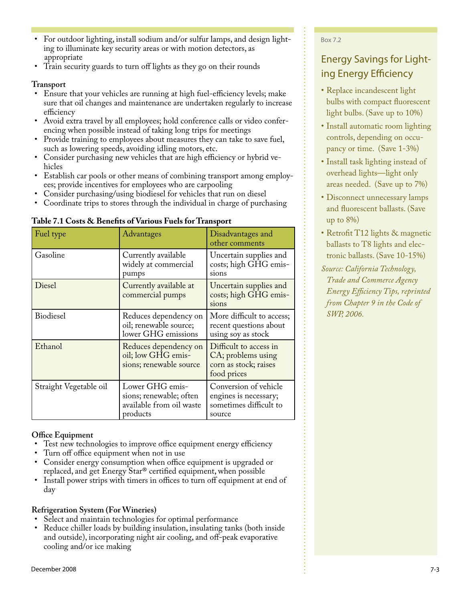- For outdoor lighting, install sodium and/or sulfur lamps, and design lighting to illuminate key security areas or with motion detectors, as appropriate •
- Train security guards to turn off lights as they go on their rounds •

#### **Transport**

- Ensure that your vehicles are running at high fuel-efficiency levels; make sure that oil changes and maintenance are undertaken regularly to increase efficiency
- Avoid extra travel by all employees; hold conference calls or video conferencing when possible instead of taking long trips for meetings •
- Provide training to employees about measures they can take to save fuel, such as lowering speeds, avoiding idling motors, etc. •
- Consider purchasing new vehicles that are high efficiency or hybrid vehicles •
- Establish car pools or other means of combining transport among employees; provide incentives for employees who are carpooling •
- Consider purchasing/using biodiesel for vehicles that run on diesel •
- Coordinate trips to stores through the individual in charge of purchasing •

| Fuel type              | Advantages                                                                         | Disadvantages and<br>other comments                                                  |
|------------------------|------------------------------------------------------------------------------------|--------------------------------------------------------------------------------------|
| Gasoline               | Currently available<br>widely at commercial<br>pumps                               | Uncertain supplies and<br>costs; high GHG emis-<br>sions                             |
| Diesel                 | Currently available at<br>commercial pumps                                         | Uncertain supplies and<br>costs; high GHG emis-<br>sions                             |
| Biodiesel              | Reduces dependency on<br>oil; renewable source;<br>lower GHG emissions             | More difficult to access;<br>recent questions about<br>using soy as stock            |
| Ethanol                | Reduces dependency on<br>oil; low GHG emis-<br>sions; renewable source             | Difficult to access in<br>CA; problems using<br>corn as stock; raises<br>food prices |
| Straight Vegetable oil | Lower GHG emis-<br>sions; renewable; often<br>available from oil waste<br>products | Conversion of vehicle<br>engines is necessary;<br>sometimes difficult to<br>source   |

#### **Table 7.1 Costs & Benefits of Various Fuels for Transport**

#### **Office Equipment**

- Test new technologies to improve office equipment energy efficiency •
- Turn off office equipment when not in use •
- Consider energy consumption when office equipment is upgraded or replaced, and get Energy Star® certified equipment, when possible •
- Install power strips with timers in offices to turn off equipment at end of day •

#### **Refrigeration System (For Wineries)**

- Select and maintain technologies for optimal performance •
- Reduce chiller loads by building insulation, insulating tanks (both inside and outside), incorporating night air cooling, and off-peak evaporative cooling and/or ice making •

#### Box 7.2

# Energy Savings for Lighting Energy Efficiency

- Replace incandescent light bulbs with compact fluorescent light bulbs. (Save up to 10%)
- Install automatic room lighting controls, depending on occupancy or time. (Save 1-3%)
- Install task lighting instead of overhead lights—light only areas needed. (Save up to 7%)
- Disconnect unnecessary lamps and fluorescent ballasts. (Save up to 8%)
- Retrofit T12 lights & magnetic ballasts to T8 lights and electronic ballasts. (Save 10-15%)
- *Source: California Technology, Trade and Commerce Agency Energy Efficiency Tips, reprinted from Chapter 9 in the Code of SWP, 2006.*